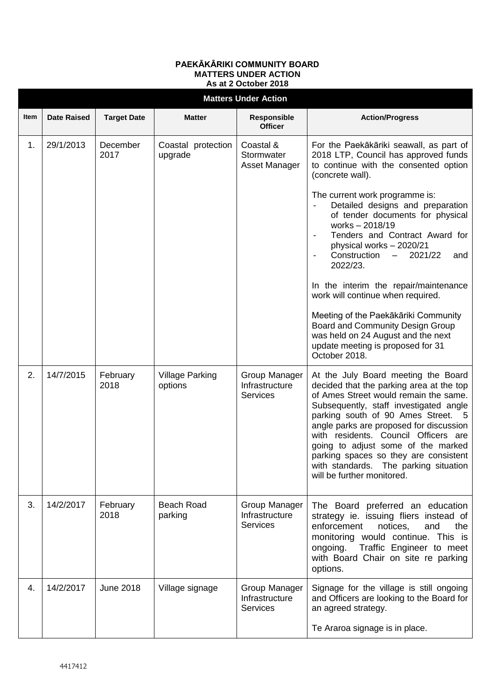## **MATTERS UNDER ACTION As at 2 October 2018 Matters Under Action Item** | Date Raised | Target Date | Matter | Responsible **Officer Action/Progress** 1. 29/1/2013 December 2017 Coastal protection upgrade Coastal & **Stormwater** Asset Manager For the Paekākāriki seawall, as part of 2018 LTP, Council has approved funds to continue with the consented option (concrete wall). The current work programme is: Detailed designs and preparation of tender documents for physical works – 2018/19 Tenders and Contract Award for physical works – 2020/21 - Construction – 2021/22 and 2022/23. In the interim the repair/maintenance work will continue when required. Meeting of the Paekākāriki Community Board and Community Design Group was held on 24 August and the next update meeting is proposed for 31 October 2018. 2. 14/7/2015 February 2018 Village Parking options Group Manager Infrastructure **Services** At the July Board meeting the Board decided that the parking area at the top of Ames Street would remain the same. Subsequently, staff investigated angle parking south of 90 Ames Street. 5 angle parks are proposed for discussion with residents. Council Officers are going to adjust some of the marked parking spaces so they are consistent with standards. The parking situation will be further monitored. 3. 14/2/2017 February 2018 Beach Road parking Group Manager Infrastructure **Services** The Board preferred an education strategy ie. issuing fliers instead of enforcement notices, and the monitoring would continue. This is ongoing. Traffic Engineer to meet with Board Chair on site re parking options. 4. 14/2/2017 June 2018 Village signage Group Manager **Infrastructure Services** Signage for the village is still ongoing and Officers are looking to the Board for an agreed strategy. Te Araroa signage is in place.

**PAEKĀKĀRIKI COMMUNITY BOARD**

## 4417412